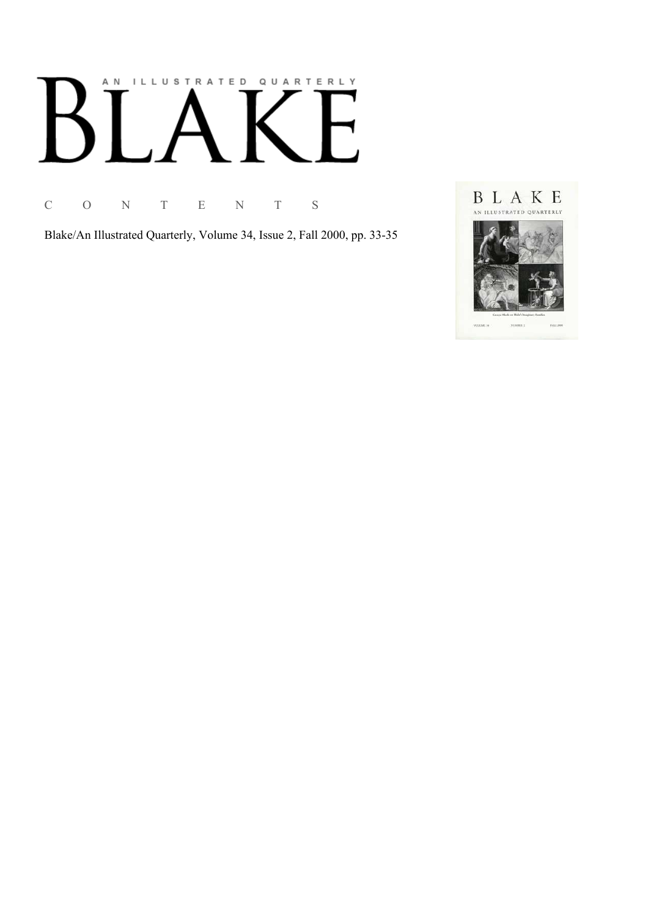# AN ILLUSTRATED QUARTERLY

C O N T E N T S

Blake/An Illustrated Quarterly, Volume 34, Issue 2, Fall 2000, pp. 33-35

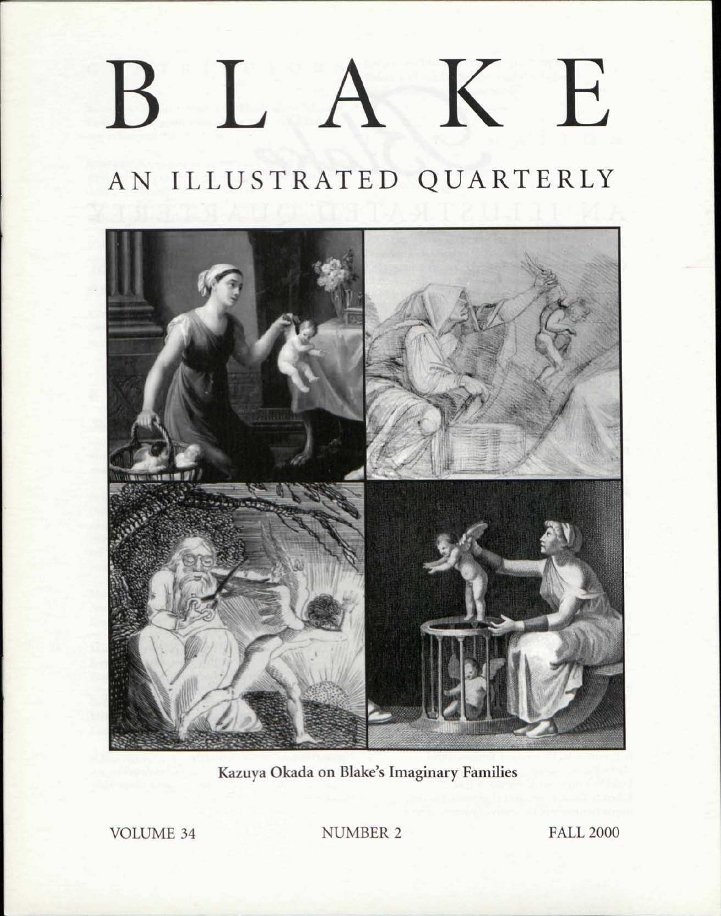# BLAKE

# AN ILLUSTRATED QUARTERLY



Kazuya Okada on Blake's Imaginary Families

VOLUME 34 NUMBER 2 FALL 2000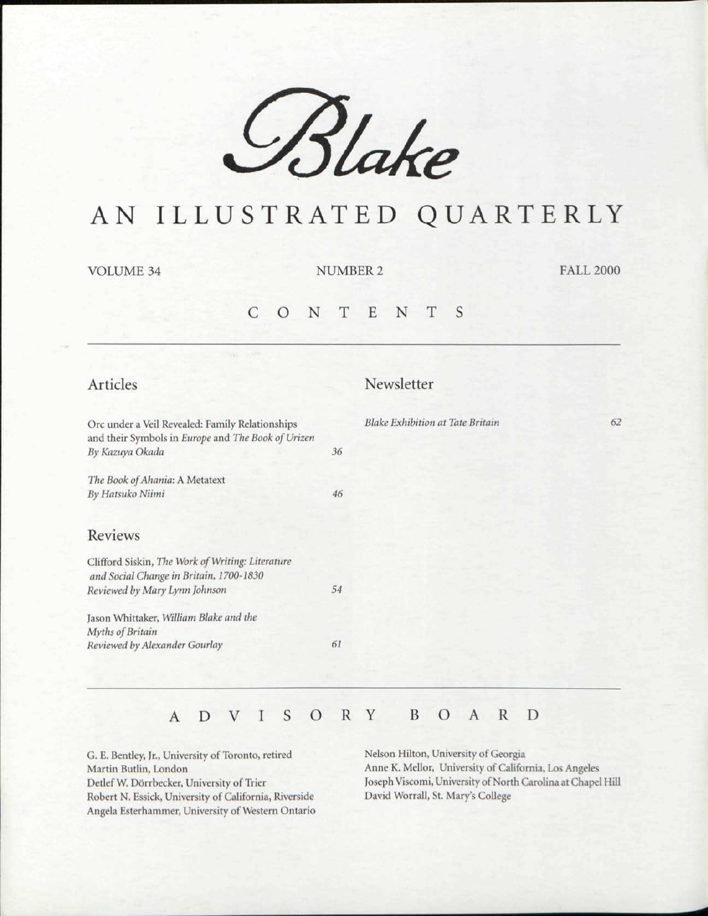

# AN ILLUSTRATED QUARTERLY

#### VOLUME 34 NUMBER 2 FALL 2000

## CONTENT S

| Articles                                                                                    |    | Newsletter                              |    |
|---------------------------------------------------------------------------------------------|----|-----------------------------------------|----|
| Orc under a Veil Revealed: Family Relationships                                             |    | <b>Blake Exhibition at Tate Britain</b> | 62 |
| and their Symbols in Europe and The Book of Urizen<br>By Kazuya Okada                       | 36 |                                         |    |
| The Book of Ahania: A Metatext                                                              |    |                                         |    |
| By Hatsuko Niimi                                                                            | 46 |                                         |    |
| Reviews                                                                                     |    |                                         |    |
| Clifford Siskin, The Work of Writing: Literature<br>and Social Change in Britain, 1700-1830 |    |                                         |    |
| Reviewed by Mary Lynn Johnson                                                               | 54 |                                         |    |
| Jason Whittaker, William Blake and the<br>Myths of Britain                                  |    |                                         |    |
| Reviewed by Alexander Gourlay                                                               | 61 |                                         |    |
|                                                                                             |    |                                         |    |

## ADVISOR Y BOAR D

G. E. Bentley, Jr., University of Toronto, retired Nelson Hilton, University of Georgia Martin Butlin, London Anne K. Mellor, University of California, Los Angeles Robert N. Essick, University of California, Riverside David Worrall, St. Mary's College Angela Esterhammer, University of Western Ontario

Detlef W. Dorrbecker, University of Trier Joseph Viscomi, University of North Carolina at Chapel Hill